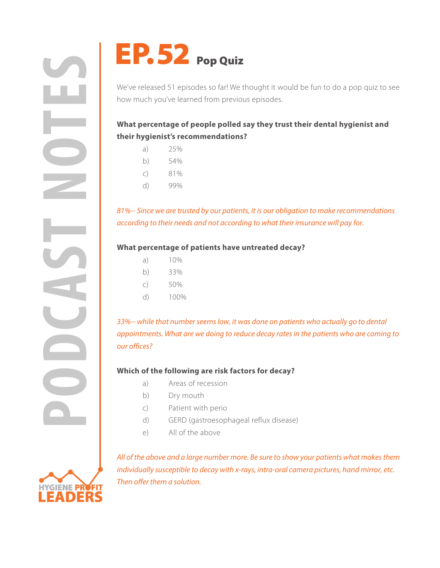**PODCAST POP QUIZ**<br>
We've released 51 episodes so fart We how much you've learned from previous<br>
What percentage of people polled<br>
their hygienist's recommendations<br>
a) 25%<br>
c) 81%<br>
d) 99%<br>
81%-- Since we are trusted by ou



We've released 51 episodes so far! We thought it would be fun to do a pop quiz to see how much you've learned from previous episodes.

# **What percentage of people polled say they trust their dental hygienist and their hygienist's recommendations?**

- a) 25%
- b) 54%
- c) 81%
- d) 99%

*81%-- Since we are trusted by our patients, it is our obligation to make recommendations according to their needs and not according to what their insurance will pay for.*

### **What percentage of patients have untreated decay?**

- a) 10%
- b) 33%
- c) 50%
- d) 100%

*33%-- while that number seems low, it was done on patients who actually go to dental appointments. What are we doing to reduce decay rates in the patients who are coming to our offices?*

## **Which of the following are risk factors for decay?**

- a) Areas of recession
- b) Dry mouth
- c) Patient with perio
- d) GERD (gastroesophageal reflux disease)
- e) All of the above

*All of the above and a large number more. Be sure to show your patients what makes them individually susceptible to decay with x-rays, intra-oral camera pictures, hand mirror, etc. Then offer them a solution.*

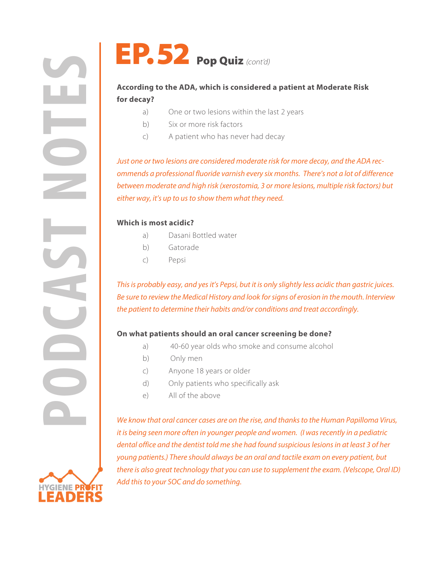



# **According to the ADA, which is considered a patient at Moderate Risk for decay?**

- a) One or two lesions within the last 2 years
- b) Six or more risk factors
- c) A patient who has never had decay

*Just one or two lesions are considered moderate risk for more decay, and the ADA recommends a professional fluoride varnish every six months. There's not a lot of difference between moderate and high risk (xerostomia, 3 or more lesions, multiple risk factors) but either way, it's up to us to show them what they need.*

## **Which is most acidic?**

- a) Dasani Bottled water
- b) Gatorade
- c) Pepsi

*This is probably easy, and yes it's Pepsi, but it is only slightly less acidic than gastric juices. Be sure to review the Medical History and look for signs of erosion in the mouth. Interview the patient to determine their habits and/or conditions and treat accordingly.*

## **On what patients should an oral cancer screening be done?**

- a) 40-60 year olds who smoke and consume alcohol
- b) Only men
- c) Anyone 18 years or older
- d) Only patients who specifically ask
- e) All of the above

*We know that oral cancer cases are on the rise, and thanks to the Human Papilloma Virus, it is being seen more often in younger people and women. (I was recently in a pediatric dental office and the dentist told me she had found suspicious lesions in at least 3 of her young patients.) There should always be an oral and tactile exam on every patient, but there is also great technology that you can use to supplement the exam. (Velscope, Oral ID) Add this to your SOC and do something.*